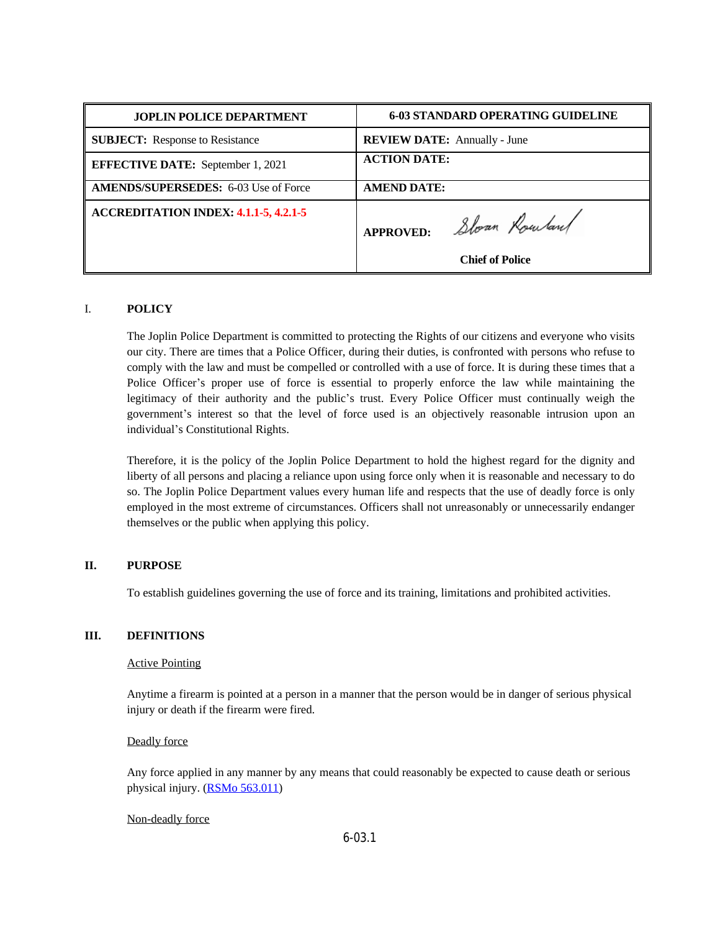| <b>JOPLIN POLICE DEPARTMENT</b>              | <b>6-03 STANDARD OPERATING GUIDELINE</b> |
|----------------------------------------------|------------------------------------------|
| <b>SUBJECT:</b> Response to Resistance       | <b>REVIEW DATE:</b> Annually - June      |
| <b>EFFECTIVE DATE:</b> September 1, 2021     | <b>ACTION DATE:</b>                      |
| <b>AMENDS/SUPERSEDES: 6-03 Use of Force</b>  | <b>AMEND DATE:</b>                       |
| <b>ACCREDITATION INDEX: 4.1.1-5, 4.2.1-5</b> | APPROVED: Sloan Rowland                  |
|                                              | <b>Chief of Police</b>                   |

## I. **POLICY**

The Joplin Police Department is committed to protecting the Rights of our citizens and everyone who visits our city. There are times that a Police Officer, during their duties, is confronted with persons who refuse to comply with the law and must be compelled or controlled with a use of force. It is during these times that a Police Officer's proper use of force is essential to properly enforce the law while maintaining the legitimacy of their authority and the public's trust. Every Police Officer must continually weigh the government's interest so that the level of force used is an objectively reasonable intrusion upon an individual's Constitutional Rights.

Therefore, it is the policy of the Joplin Police Department to hold the highest regard for the dignity and liberty of all persons and placing a reliance upon using force only when it is reasonable and necessary to do so. The Joplin Police Department values every human life and respects that the use of deadly force is only employed in the most extreme of circumstances. Officers shall not unreasonably or unnecessarily endanger themselves or the public when applying this policy.

## **II. PURPOSE**

To establish guidelines governing the use of force and its training, limitations and prohibited activities.

## **III. DEFINITIONS**

## Active Pointing

Anytime a firearm is pointed at a person in a manner that the person would be in danger of serious physical injury or death if the firearm were fired.

## Deadly force

Any force applied in any manner by any means that could reasonably be expected to cause death or serious physical injury. [\(RSMo 563.011\)](http://revisor.mo.gov/main/OneSection.aspx?section=563.011&bid=29211&hl=)

## [Non-deadly force](http://revisor.mo.gov/main/OneSection.aspx?section=563.011&bid=29211&hl=)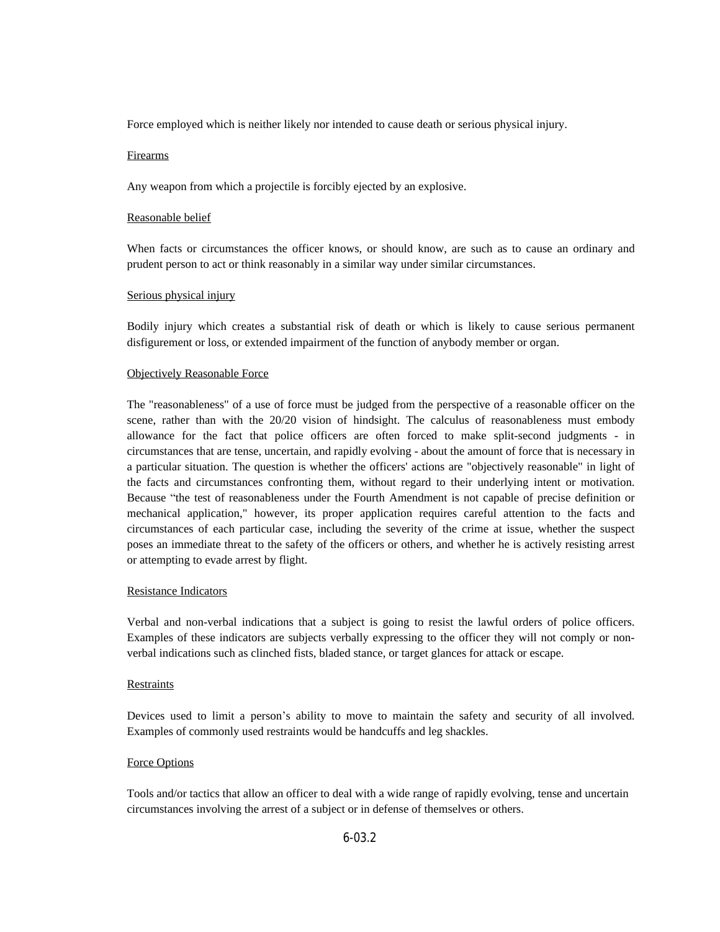Force employed which is neither likely nor intended to cause death or serious physical injury.

#### **Firearms**

Any weapon from which a projectile is forcibly ejected by an explosive.

#### Reasonable belief

When facts or circumstances the officer knows, or should know, are such as to cause an ordinary and prudent person to act or think reasonably in a similar way under similar circumstances.

#### Serious physical injury

Bodily injury which creates a substantial risk of death or which is likely to cause serious permanent disfigurement or loss, or extended impairment of the function of anybody member or organ.

#### Objectively Reasonable Force

The "reasonableness" of a use of force must be judged from the perspective of a reasonable officer on the scene, rather than with the 20/20 vision of hindsight. The calculus of reasonableness must embody allowance for the fact that police officers are often forced to make split-second judgments - in circumstances that are tense, uncertain, and rapidly evolving - about the amount of force that is necessary in a particular situation. The question is whether the officers' actions are "objectively reasonable" in light of the facts and circumstances confronting them, without regard to their underlying intent or motivation. Because "the test of reasonableness under the Fourth Amendment is not capable of precise definition or mechanical application," however, its proper application requires careful attention to the facts and circumstances of each particular case, including the severity of the crime at issue, whether the suspect poses an immediate threat to the safety of the officers or others, and whether he is actively resisting arrest or attempting to evade arrest by flight.

## Resistance Indicators

Verbal and non-verbal indications that a subject is going to resist the lawful orders of police officers. Examples of these indicators are subjects verbally expressing to the officer they will not comply or nonverbal indications such as clinched fists, bladed stance, or target glances for attack or escape.

#### **Restraints**

Devices used to limit a person's ability to move to maintain the safety and security of all involved. Examples of commonly used restraints would be handcuffs and leg shackles.

## Force Options

Tools and/or tactics that allow an officer to deal with a wide range of rapidly evolving, tense and uncertain circumstances involving the arrest of a subject or in defense of themselves or others.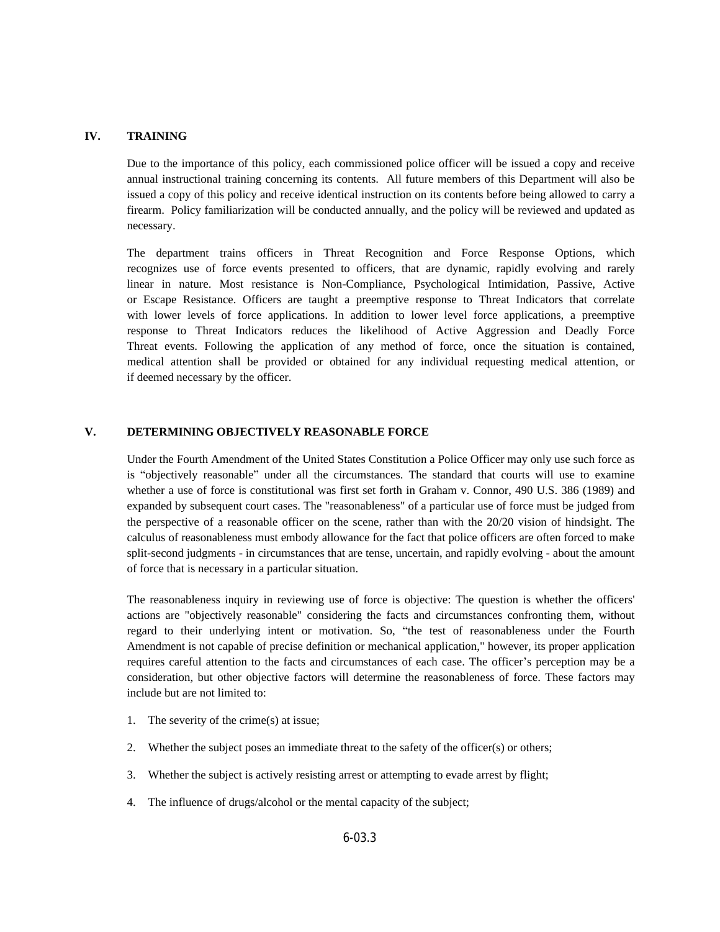#### **IV. TRAINING**

Due to the importance of this policy, each commissioned police officer will be issued a copy and receive annual instructional training concerning its contents. All future members of this Department will also be issued a copy of this policy and receive identical instruction on its contents before being allowed to carry a firearm. Policy familiarization will be conducted annually, and the policy will be reviewed and updated as necessary.

The department trains officers in Threat Recognition and Force Response Options, which recognizes use of force events presented to officers, that are dynamic, rapidly evolving and rarely linear in nature. Most resistance is Non-Compliance, Psychological Intimidation, Passive, Active or Escape Resistance. Officers are taught a preemptive response to Threat Indicators that correlate with lower levels of force applications. In addition to lower level force applications, a preemptive response to Threat Indicators reduces the likelihood of Active Aggression and Deadly Force Threat events. Following the application of any method of force, once the situation is contained, medical attention shall be provided or obtained for any individual requesting medical attention, or if deemed necessary by the officer.

#### **V. DETERMINING OBJECTIVELY REASONABLE FORCE**

Under the Fourth Amendment of the United States Constitution a Police Officer may only use such force as is "objectively reasonable" under all the circumstances. The standard that courts will use to examine whether a use of force is constitutional was first set forth in Graham v. Connor, 490 U.S. 386 (1989) and expanded by subsequent court cases. The "reasonableness" of a particular use of force must be judged from the perspective of a reasonable officer on the scene, rather than with the 20/20 vision of hindsight. The calculus of reasonableness must embody allowance for the fact that police officers are often forced to make split-second judgments - in circumstances that are tense, uncertain, and rapidly evolving - about the amount of force that is necessary in a particular situation.

The reasonableness inquiry in reviewing use of force is objective: The question is whether the officers' actions are "objectively reasonable" considering the facts and circumstances confronting them, without regard to their underlying intent or motivation. So, "the test of reasonableness under the Fourth Amendment is not capable of precise definition or mechanical application," however, its proper application requires careful attention to the facts and circumstances of each case. The officer's perception may be a consideration, but other objective factors will determine the reasonableness of force. These factors may include but are not limited to:

- 1. The severity of the crime(s) at issue;
- 2. Whether the subject poses an immediate threat to the safety of the officer(s) or others;
- 3. Whether the subject is actively resisting arrest or attempting to evade arrest by flight;
- 4. The influence of drugs/alcohol or the mental capacity of the subject;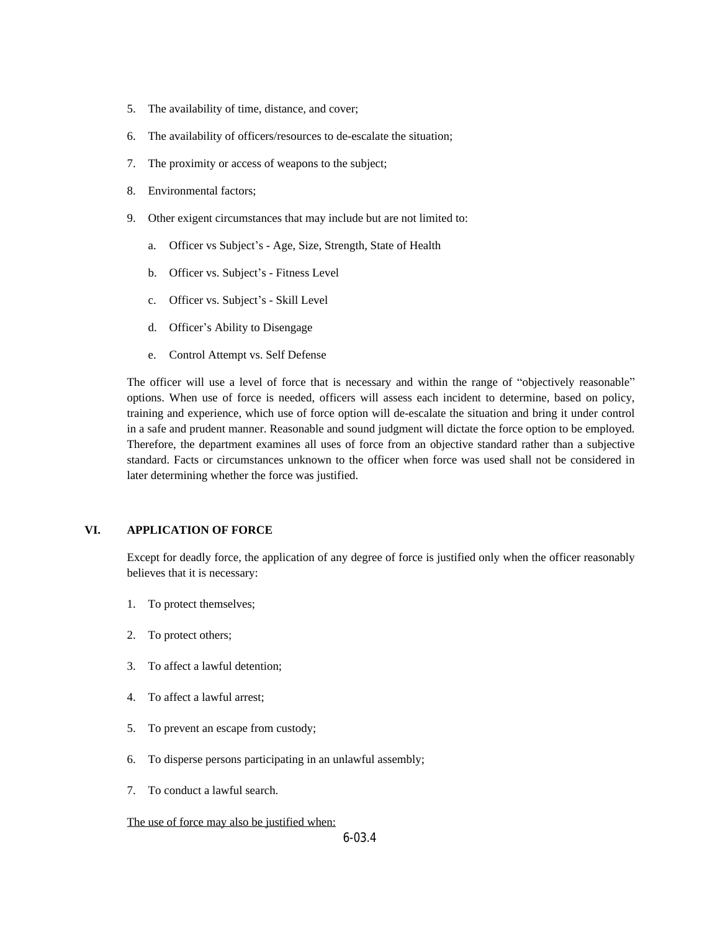- 5. The availability of time, distance, and cover;
- 6. The availability of officers/resources to de-escalate the situation;
- 7. The proximity or access of weapons to the subject;
- 8. Environmental factors;
- 9. Other exigent circumstances that may include but are not limited to:
	- a. Officer vs Subject's Age, Size, Strength, State of Health
	- b. Officer vs. Subject's Fitness Level
	- c. Officer vs. Subject's Skill Level
	- d. Officer's Ability to Disengage
	- e. Control Attempt vs. Self Defense

The officer will use a level of force that is necessary and within the range of "objectively reasonable" options. When use of force is needed, officers will assess each incident to determine, based on policy, training and experience, which use of force option will de-escalate the situation and bring it under control in a safe and prudent manner. Reasonable and sound judgment will dictate the force option to be employed. Therefore, the department examines all uses of force from an objective standard rather than a subjective standard. Facts or circumstances unknown to the officer when force was used shall not be considered in later determining whether the force was justified.

#### **VI. APPLICATION OF FORCE**

Except for deadly force, the application of any degree of force is justified only when the officer reasonably believes that it is necessary:

- 1. To protect themselves;
- 2. To protect others;
- 3. To affect a lawful detention;
- 4. To affect a lawful arrest;
- 5. To prevent an escape from custody;
- 6. To disperse persons participating in an unlawful assembly;
- 7. To conduct a lawful search.

#### The use of force may also be justified when: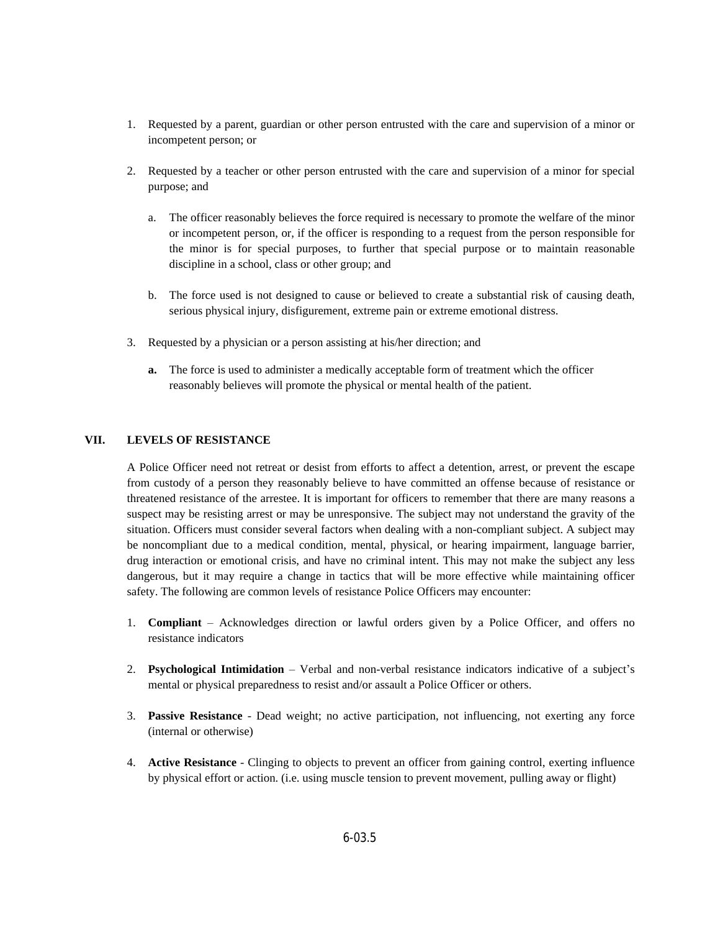- 1. Requested by a parent, guardian or other person entrusted with the care and supervision of a minor or incompetent person; or
- 2. Requested by a teacher or other person entrusted with the care and supervision of a minor for special purpose; and
	- a. The officer reasonably believes the force required is necessary to promote the welfare of the minor or incompetent person, or, if the officer is responding to a request from the person responsible for the minor is for special purposes, to further that special purpose or to maintain reasonable discipline in a school, class or other group; and
	- b. The force used is not designed to cause or believed to create a substantial risk of causing death, serious physical injury, disfigurement, extreme pain or extreme emotional distress.
- 3. Requested by a physician or a person assisting at his/her direction; and
	- **a.** The force is used to administer a medically acceptable form of treatment which the officer reasonably believes will promote the physical or mental health of the patient.

## **VII. LEVELS OF RESISTANCE**

A Police Officer need not retreat or desist from efforts to affect a detention, arrest, or prevent the escape from custody of a person they reasonably believe to have committed an offense because of resistance or threatened resistance of the arrestee. It is important for officers to remember that there are many reasons a suspect may be resisting arrest or may be unresponsive. The subject may not understand the gravity of the situation. Officers must consider several factors when dealing with a non-compliant subject. A subject may be noncompliant due to a medical condition, mental, physical, or hearing impairment, language barrier, drug interaction or emotional crisis, and have no criminal intent. This may not make the subject any less dangerous, but it may require a change in tactics that will be more effective while maintaining officer safety. The following are common levels of resistance Police Officers may encounter:

- 1. **Compliant** Acknowledges direction or lawful orders given by a Police Officer, and offers no resistance indicators
- 2. **Psychological Intimidation** Verbal and non-verbal resistance indicators indicative of a subject's mental or physical preparedness to resist and/or assault a Police Officer or others.
- 3. **Passive Resistance** Dead weight; no active participation, not influencing, not exerting any force (internal or otherwise)
- 4. **Active Resistance** Clinging to objects to prevent an officer from gaining control, exerting influence by physical effort or action. (i.e. using muscle tension to prevent movement, pulling away or flight)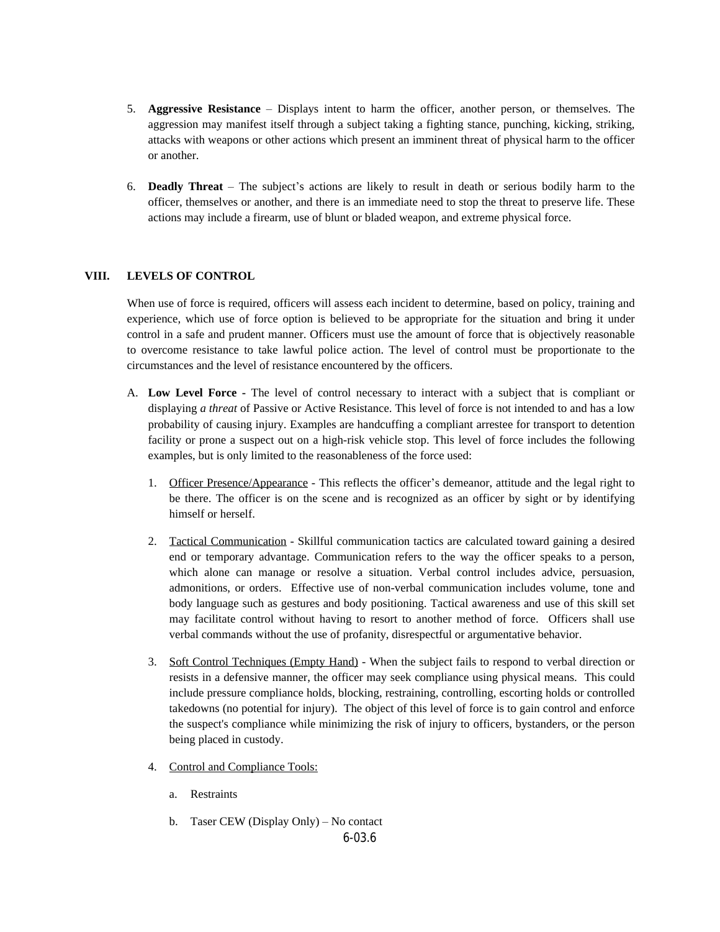- 5. **Aggressive Resistance** Displays intent to harm the officer, another person, or themselves. The aggression may manifest itself through a subject taking a fighting stance, punching, kicking, striking, attacks with weapons or other actions which present an imminent threat of physical harm to the officer or another.
- 6. **Deadly Threat** The subject's actions are likely to result in death or serious bodily harm to the officer, themselves or another, and there is an immediate need to stop the threat to preserve life. These actions may include a firearm, use of blunt or bladed weapon, and extreme physical force.

## **VIII. LEVELS OF CONTROL**

When use of force is required, officers will assess each incident to determine, based on policy, training and experience, which use of force option is believed to be appropriate for the situation and bring it under control in a safe and prudent manner. Officers must use the amount of force that is objectively reasonable to overcome resistance to take lawful police action. The level of control must be proportionate to the circumstances and the level of resistance encountered by the officers.

- A. **Low Level Force -** The level of control necessary to interact with a subject that is compliant or displaying *a threat* of Passive or Active Resistance. This level of force is not intended to and has a low probability of causing injury. Examples are handcuffing a compliant arrestee for transport to detention facility or prone a suspect out on a high-risk vehicle stop. This level of force includes the following examples, but is only limited to the reasonableness of the force used:
	- 1. Officer Presence/Appearance This reflects the officer's demeanor, attitude and the legal right to be there. The officer is on the scene and is recognized as an officer by sight or by identifying himself or herself.
	- 2. Tactical Communication Skillful communication tactics are calculated toward gaining a desired end or temporary advantage. Communication refers to the way the officer speaks to a person, which alone can manage or resolve a situation. Verbal control includes advice, persuasion, admonitions, or orders. Effective use of non-verbal communication includes volume, tone and body language such as gestures and body positioning. Tactical awareness and use of this skill set may facilitate control without having to resort to another method of force. Officers shall use verbal commands without the use of profanity, disrespectful or argumentative behavior.
	- 3. Soft Control Techniques (Empty Hand) When the subject fails to respond to verbal direction or resists in a defensive manner, the officer may seek compliance using physical means. This could include pressure compliance holds, blocking, restraining, controlling, escorting holds or controlled takedowns (no potential for injury). The object of this level of force is to gain control and enforce the suspect's compliance while minimizing the risk of injury to officers, bystanders, or the person being placed in custody.
	- 4. Control and Compliance Tools:
		- a. Restraints
		- b. Taser CEW (Display Only) No contact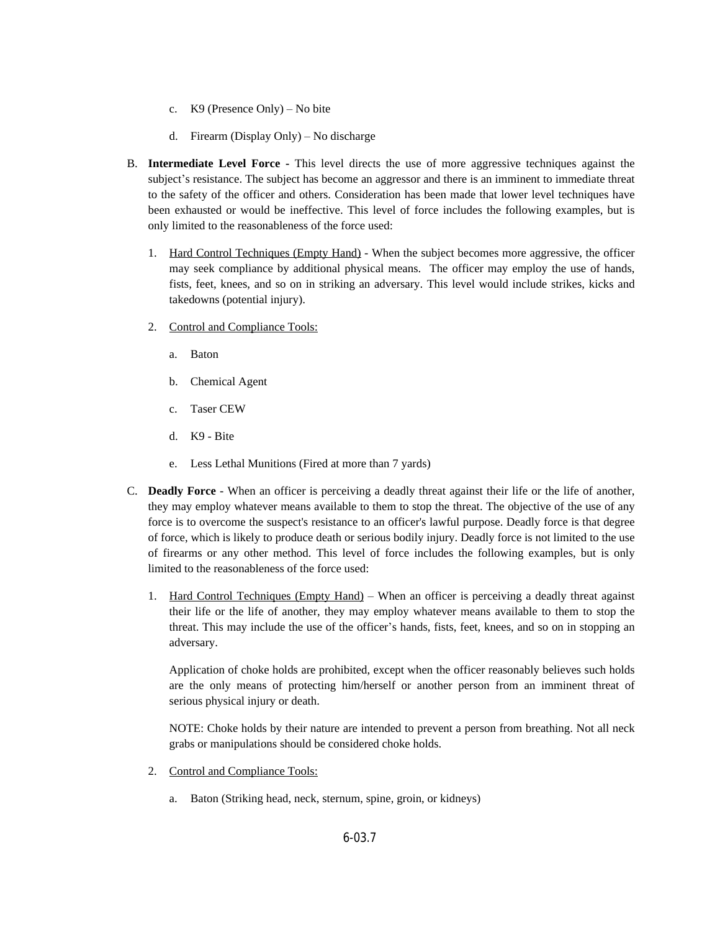- c. K9 (Presence Only) No bite
- d. Firearm (Display Only) No discharge
- B. **Intermediate Level Force -** This level directs the use of more aggressive techniques against the subject's resistance. The subject has become an aggressor and there is an imminent to immediate threat to the safety of the officer and others. Consideration has been made that lower level techniques have been exhausted or would be ineffective. This level of force includes the following examples, but is only limited to the reasonableness of the force used:
	- 1. Hard Control Techniques (Empty Hand) When the subject becomes more aggressive, the officer may seek compliance by additional physical means. The officer may employ the use of hands, fists, feet, knees, and so on in striking an adversary. This level would include strikes, kicks and takedowns (potential injury).
	- 2. Control and Compliance Tools:
		- a. Baton
		- b. Chemical Agent
		- c. Taser CEW
		- d. K9 Bite
		- e. Less Lethal Munitions (Fired at more than 7 yards)
- C. **Deadly Force** When an officer is perceiving a deadly threat against their life or the life of another, they may employ whatever means available to them to stop the threat. The objective of the use of any force is to overcome the suspect's resistance to an officer's lawful purpose. Deadly force is that degree of force, which is likely to produce death or serious bodily injury. Deadly force is not limited to the use of firearms or any other method. This level of force includes the following examples, but is only limited to the reasonableness of the force used:
	- 1. Hard Control Techniques (Empty Hand) When an officer is perceiving a deadly threat against their life or the life of another, they may employ whatever means available to them to stop the threat. This may include the use of the officer's hands, fists, feet, knees, and so on in stopping an adversary.

Application of choke holds are prohibited, except when the officer reasonably believes such holds are the only means of protecting him/herself or another person from an imminent threat of serious physical injury or death.

NOTE: Choke holds by their nature are intended to prevent a person from breathing. Not all neck grabs or manipulations should be considered choke holds.

- 2. Control and Compliance Tools:
	- a. Baton (Striking head, neck, sternum, spine, groin, or kidneys)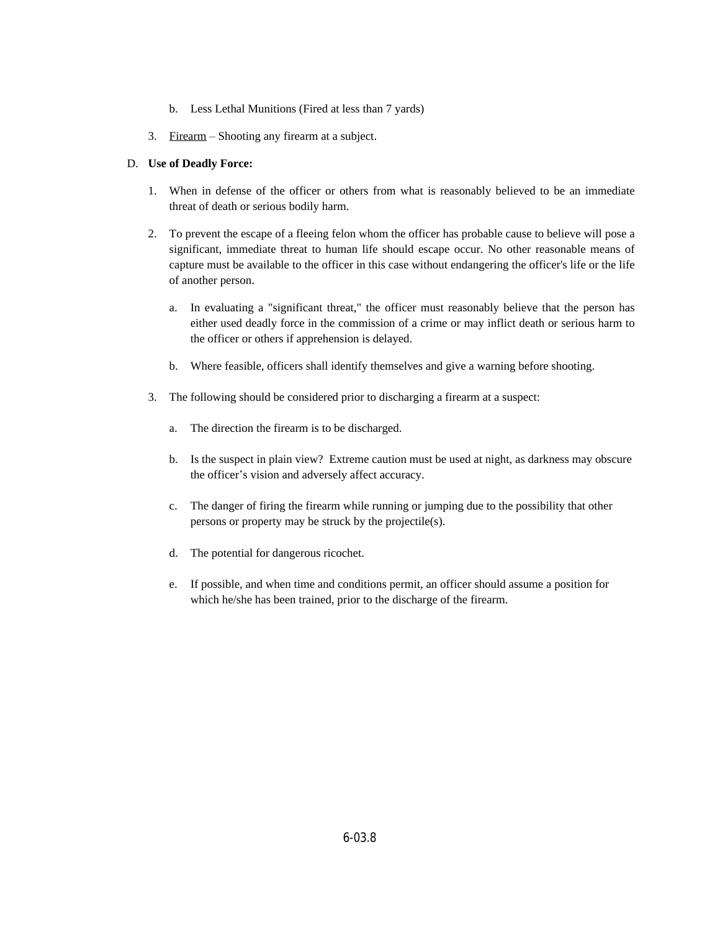- b. Less Lethal Munitions (Fired at less than 7 yards)
- 3. Firearm Shooting any firearm at a subject.

## D. **Use of Deadly Force:**

- 1. When in defense of the officer or others from what is reasonably believed to be an immediate threat of death or serious bodily harm.
- 2. To prevent the escape of a fleeing felon whom the officer has probable cause to believe will pose a significant, immediate threat to human life should escape occur. No other reasonable means of capture must be available to the officer in this case without endangering the officer's life or the life of another person.
	- a. In evaluating a "significant threat," the officer must reasonably believe that the person has either used deadly force in the commission of a crime or may inflict death or serious harm to the officer or others if apprehension is delayed.
	- b. Where feasible, officers shall identify themselves and give a warning before shooting.
- 3. The following should be considered prior to discharging a firearm at a suspect:
	- a. The direction the firearm is to be discharged.
	- b. Is the suspect in plain view? Extreme caution must be used at night, as darkness may obscure the officer's vision and adversely affect accuracy.
	- c. The danger of firing the firearm while running or jumping due to the possibility that other persons or property may be struck by the projectile(s).
	- d. The potential for dangerous ricochet.
	- e. If possible, and when time and conditions permit, an officer should assume a position for which he/she has been trained, prior to the discharge of the firearm.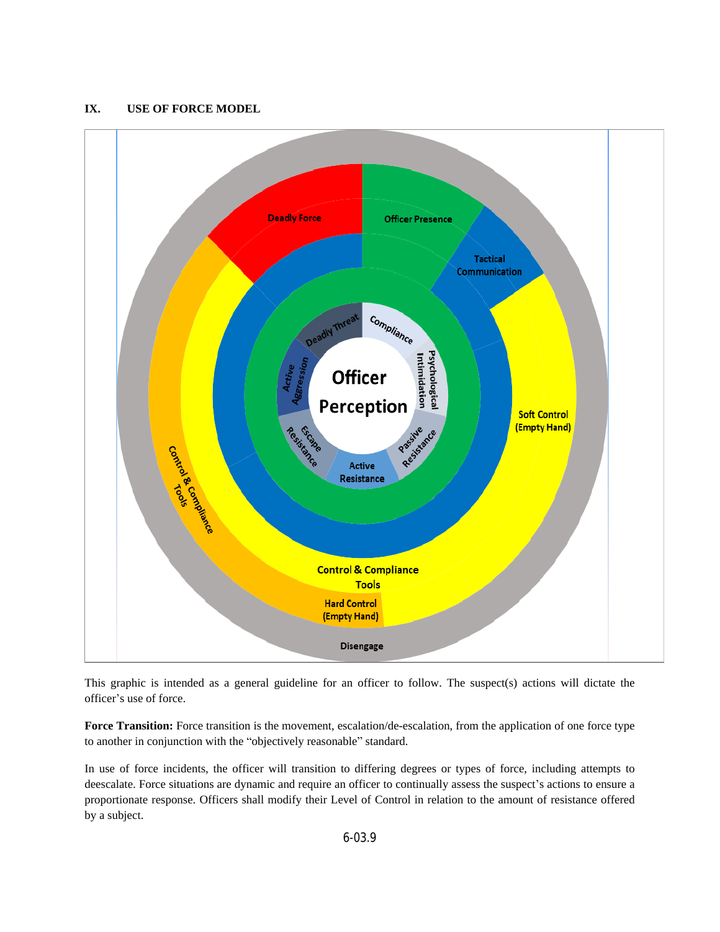## **IX. USE OF FORCE MODEL**



This graphic is intended as a general guideline for an officer to follow. The suspect(s) actions will dictate the officer's use of force.

**Force Transition:** Force transition is the movement, escalation/de-escalation, from the application of one force type to another in conjunction with the "objectively reasonable" standard.

In use of force incidents, the officer will transition to differing degrees or types of force, including attempts to deescalate. Force situations are dynamic and require an officer to continually assess the suspect's actions to ensure a proportionate response. Officers shall modify their Level of Control in relation to the amount of resistance offered by a subject.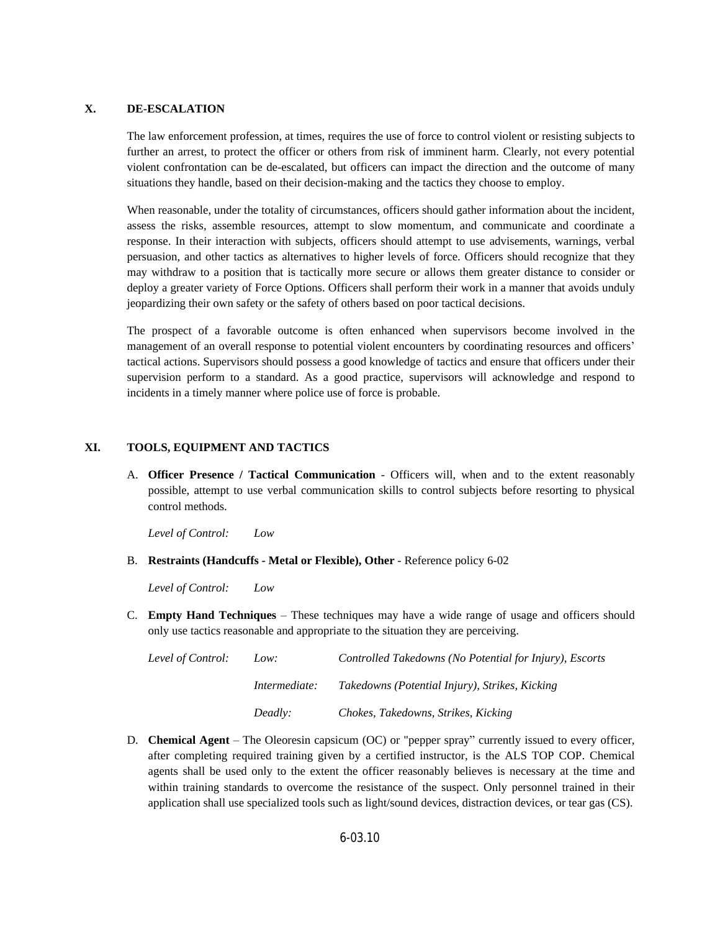#### **X. DE-ESCALATION**

The law enforcement profession, at times, requires the use of force to control violent or resisting subjects to further an arrest, to protect the officer or others from risk of imminent harm. Clearly, not every potential violent confrontation can be de-escalated, but officers can impact the direction and the outcome of many situations they handle, based on their decision-making and the tactics they choose to employ.

When reasonable, under the totality of circumstances, officers should gather information about the incident, assess the risks, assemble resources, attempt to slow momentum, and communicate and coordinate a response. In their interaction with subjects, officers should attempt to use advisements, warnings, verbal persuasion, and other tactics as alternatives to higher levels of force. Officers should recognize that they may withdraw to a position that is tactically more secure or allows them greater distance to consider or deploy a greater variety of Force Options. Officers shall perform their work in a manner that avoids unduly jeopardizing their own safety or the safety of others based on poor tactical decisions.

The prospect of a favorable outcome is often enhanced when supervisors become involved in the management of an overall response to potential violent encounters by coordinating resources and officers' tactical actions. Supervisors should possess a good knowledge of tactics and ensure that officers under their supervision perform to a standard. As a good practice, supervisors will acknowledge and respond to incidents in a timely manner where police use of force is probable.

#### **XI. TOOLS, EQUIPMENT AND TACTICS**

A. **Officer Presence / Tactical Communication** - Officers will, when and to the extent reasonably possible, attempt to use verbal communication skills to control subjects before resorting to physical control methods.

*Level of Control: Low*

B. **Restraints (Handcuffs - Metal or Flexible), Other** - Reference policy 6-02

*Level of Control: Low*

C. **Empty Hand Techniques** – These techniques may have a wide range of usage and officers should only use tactics reasonable and appropriate to the situation they are perceiving.

| Level of Control:<br>Low: |               | Controlled Takedowns (No Potential for Injury), Escorts |
|---------------------------|---------------|---------------------------------------------------------|
|                           | Intermediate: | Takedowns (Potential Injury), Strikes, Kicking          |
|                           | Deadly:       | Chokes, Takedowns, Strikes, Kicking                     |

D. **Chemical Agent** – The Oleoresin capsicum (OC) or "pepper spray" currently issued to every officer, after completing required training given by a certified instructor, is the ALS TOP COP. Chemical agents shall be used only to the extent the officer reasonably believes is necessary at the time and within training standards to overcome the resistance of the suspect. Only personnel trained in their application shall use specialized tools such as light/sound devices, distraction devices, or tear gas (CS).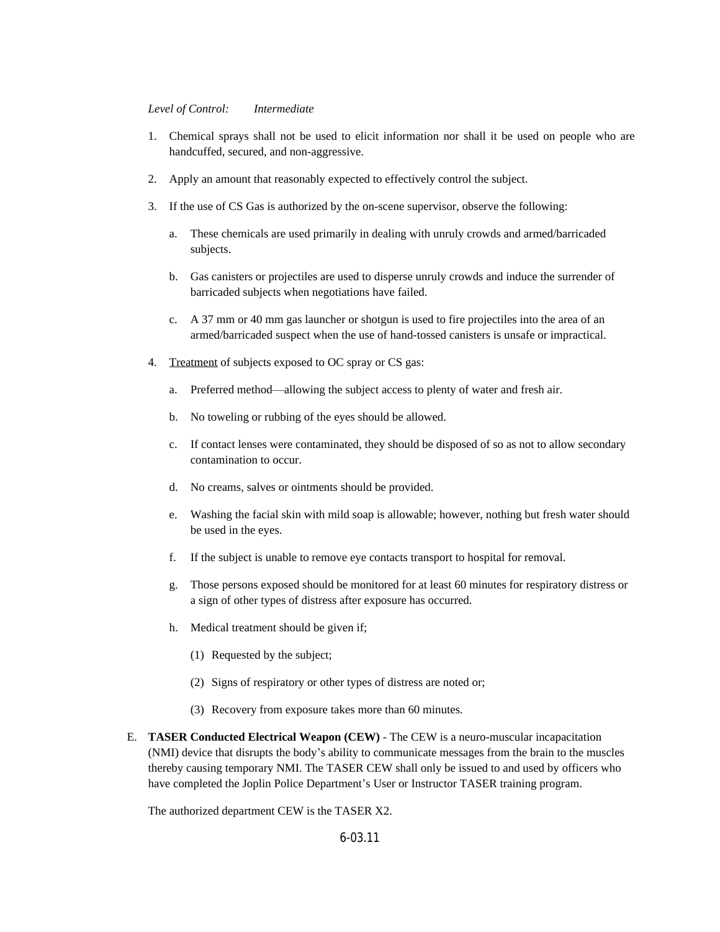#### *Level of Control: Intermediate*

- 1. Chemical sprays shall not be used to elicit information nor shall it be used on people who are handcuffed, secured, and non-aggressive.
- 2. Apply an amount that reasonably expected to effectively control the subject.
- 3. If the use of CS Gas is authorized by the on-scene supervisor, observe the following:
	- a. These chemicals are used primarily in dealing with unruly crowds and armed/barricaded subjects.
	- b. Gas canisters or projectiles are used to disperse unruly crowds and induce the surrender of barricaded subjects when negotiations have failed.
	- c. A 37 mm or 40 mm gas launcher or shotgun is used to fire projectiles into the area of an armed/barricaded suspect when the use of hand-tossed canisters is unsafe or impractical.
- 4. Treatment of subjects exposed to OC spray or CS gas:
	- a. Preferred method—allowing the subject access to plenty of water and fresh air.
	- b. No toweling or rubbing of the eyes should be allowed.
	- c. If contact lenses were contaminated, they should be disposed of so as not to allow secondary contamination to occur.
	- d. No creams, salves or ointments should be provided.
	- e. Washing the facial skin with mild soap is allowable; however, nothing but fresh water should be used in the eyes.
	- f. If the subject is unable to remove eye contacts transport to hospital for removal.
	- g. Those persons exposed should be monitored for at least 60 minutes for respiratory distress or a sign of other types of distress after exposure has occurred.
	- h. Medical treatment should be given if;
		- (1) Requested by the subject;
		- (2) Signs of respiratory or other types of distress are noted or;
		- (3) Recovery from exposure takes more than 60 minutes.
- E. **TASER Conducted Electrical Weapon (CEW)** The CEW is a neuro-muscular incapacitation (NMI) device that disrupts the body's ability to communicate messages from the brain to the muscles thereby causing temporary NMI. The TASER CEW shall only be issued to and used by officers who have completed the Joplin Police Department's User or Instructor TASER training program.

The authorized department CEW is the TASER X2.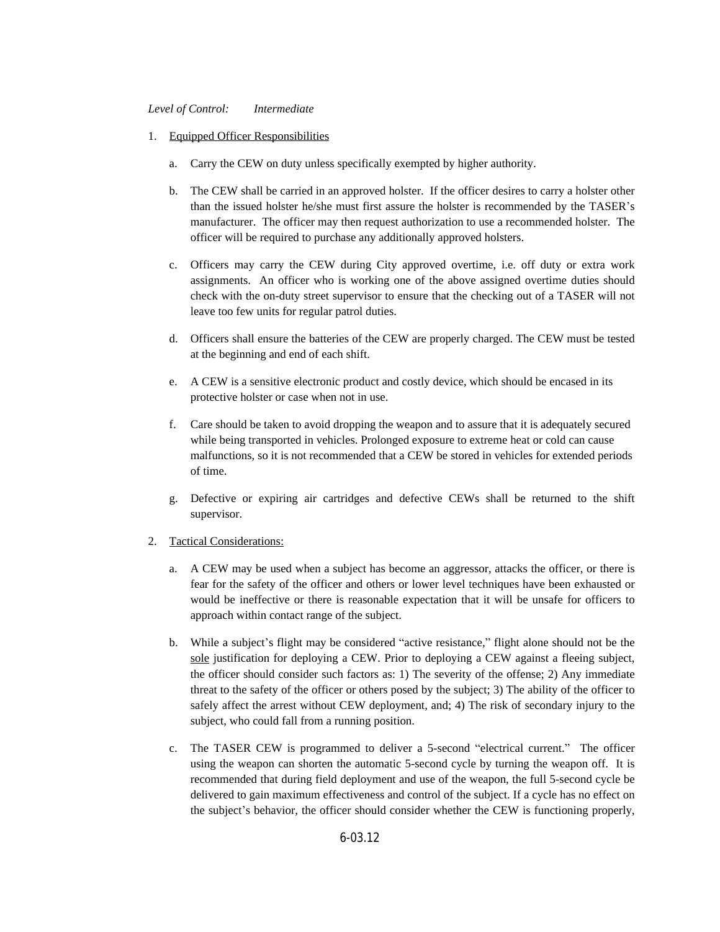#### *Level of Control: Intermediate*

- 1. Equipped Officer Responsibilities
	- a. Carry the CEW on duty unless specifically exempted by higher authority.
	- b. The CEW shall be carried in an approved holster. If the officer desires to carry a holster other than the issued holster he/she must first assure the holster is recommended by the TASER's manufacturer. The officer may then request authorization to use a recommended holster. The officer will be required to purchase any additionally approved holsters.
	- c. Officers may carry the CEW during City approved overtime, i.e. off duty or extra work assignments. An officer who is working one of the above assigned overtime duties should check with the on-duty street supervisor to ensure that the checking out of a TASER will not leave too few units for regular patrol duties.
	- d. Officers shall ensure the batteries of the CEW are properly charged. The CEW must be tested at the beginning and end of each shift.
	- e. A CEW is a sensitive electronic product and costly device, which should be encased in its protective holster or case when not in use.
	- f. Care should be taken to avoid dropping the weapon and to assure that it is adequately secured while being transported in vehicles. Prolonged exposure to extreme heat or cold can cause malfunctions, so it is not recommended that a CEW be stored in vehicles for extended periods of time.
	- g. Defective or expiring air cartridges and defective CEWs shall be returned to the shift supervisor.

#### 2. Tactical Considerations:

- a. A CEW may be used when a subject has become an aggressor, attacks the officer, or there is fear for the safety of the officer and others or lower level techniques have been exhausted or would be ineffective or there is reasonable expectation that it will be unsafe for officers to approach within contact range of the subject.
- b. While a subject's flight may be considered "active resistance," flight alone should not be the sole justification for deploying a CEW. Prior to deploying a CEW against a fleeing subject, the officer should consider such factors as: 1) The severity of the offense; 2) Any immediate threat to the safety of the officer or others posed by the subject; 3) The ability of the officer to safely affect the arrest without CEW deployment, and; 4) The risk of secondary injury to the subject, who could fall from a running position.
- c. The TASER CEW is programmed to deliver a 5-second "electrical current." The officer using the weapon can shorten the automatic 5-second cycle by turning the weapon off. It is recommended that during field deployment and use of the weapon, the full 5-second cycle be delivered to gain maximum effectiveness and control of the subject. If a cycle has no effect on the subject's behavior, the officer should consider whether the CEW is functioning properly,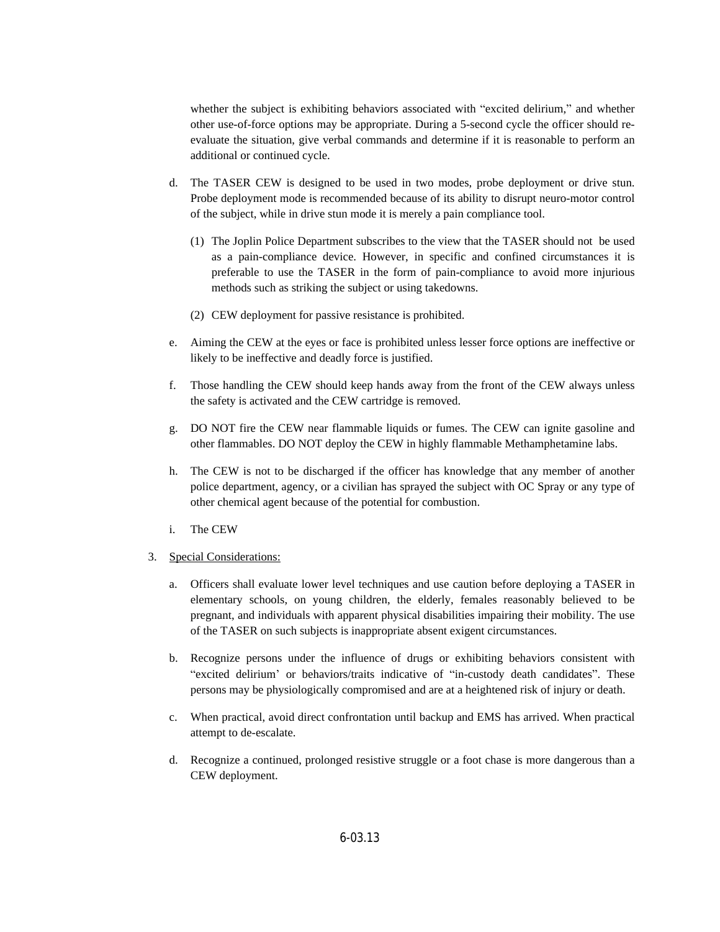whether the subject is exhibiting behaviors associated with "excited delirium," and whether other use-of-force options may be appropriate. During a 5-second cycle the officer should reevaluate the situation, give verbal commands and determine if it is reasonable to perform an additional or continued cycle.

- d. The TASER CEW is designed to be used in two modes, probe deployment or drive stun. Probe deployment mode is recommended because of its ability to disrupt neuro-motor control of the subject, while in drive stun mode it is merely a pain compliance tool.
	- (1) The Joplin Police Department subscribes to the view that the TASER should not be used as a pain-compliance device. However, in specific and confined circumstances it is preferable to use the TASER in the form of pain-compliance to avoid more injurious methods such as striking the subject or using takedowns.
	- (2) CEW deployment for passive resistance is prohibited.
- e. Aiming the CEW at the eyes or face is prohibited unless lesser force options are ineffective or likely to be ineffective and deadly force is justified.
- f. Those handling the CEW should keep hands away from the front of the CEW always unless the safety is activated and the CEW cartridge is removed.
- g. DO NOT fire the CEW near flammable liquids or fumes. The CEW can ignite gasoline and other flammables. DO NOT deploy the CEW in highly flammable Methamphetamine labs.
- h. The CEW is not to be discharged if the officer has knowledge that any member of another police department, agency, or a civilian has sprayed the subject with OC Spray or any type of other chemical agent because of the potential for combustion.
- i. The CEW
- 3. Special Considerations:
	- a. Officers shall evaluate lower level techniques and use caution before deploying a TASER in elementary schools, on young children, the elderly, females reasonably believed to be pregnant, and individuals with apparent physical disabilities impairing their mobility. The use of the TASER on such subjects is inappropriate absent exigent circumstances.
	- b. Recognize persons under the influence of drugs or exhibiting behaviors consistent with "excited delirium' or behaviors/traits indicative of "in-custody death candidates". These persons may be physiologically compromised and are at a heightened risk of injury or death.
	- c. When practical, avoid direct confrontation until backup and EMS has arrived. When practical attempt to de-escalate.
	- d. Recognize a continued, prolonged resistive struggle or a foot chase is more dangerous than a CEW deployment.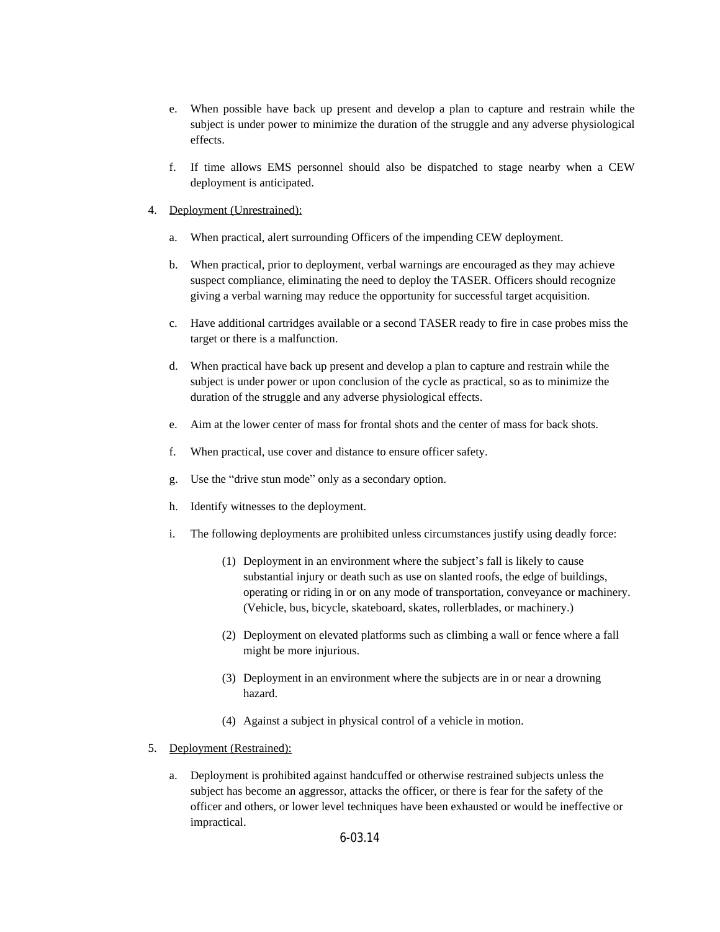- e. When possible have back up present and develop a plan to capture and restrain while the subject is under power to minimize the duration of the struggle and any adverse physiological effects.
- f. If time allows EMS personnel should also be dispatched to stage nearby when a CEW deployment is anticipated.
- 4. Deployment (Unrestrained):
	- a. When practical, alert surrounding Officers of the impending CEW deployment.
	- b. When practical, prior to deployment, verbal warnings are encouraged as they may achieve suspect compliance, eliminating the need to deploy the TASER. Officers should recognize giving a verbal warning may reduce the opportunity for successful target acquisition.
	- c. Have additional cartridges available or a second TASER ready to fire in case probes miss the target or there is a malfunction.
	- d. When practical have back up present and develop a plan to capture and restrain while the subject is under power or upon conclusion of the cycle as practical, so as to minimize the duration of the struggle and any adverse physiological effects.
	- e. Aim at the lower center of mass for frontal shots and the center of mass for back shots.
	- f. When practical, use cover and distance to ensure officer safety.
	- g. Use the "drive stun mode" only as a secondary option.
	- h. Identify witnesses to the deployment.
	- i. The following deployments are prohibited unless circumstances justify using deadly force:
		- (1) Deployment in an environment where the subject's fall is likely to cause substantial injury or death such as use on slanted roofs, the edge of buildings, operating or riding in or on any mode of transportation, conveyance or machinery. (Vehicle, bus, bicycle, skateboard, skates, rollerblades, or machinery.)
		- (2) Deployment on elevated platforms such as climbing a wall or fence where a fall might be more injurious.
		- (3) Deployment in an environment where the subjects are in or near a drowning hazard.
		- (4) Against a subject in physical control of a vehicle in motion.
- 5. Deployment (Restrained):
	- a. Deployment is prohibited against handcuffed or otherwise restrained subjects unless the subject has become an aggressor, attacks the officer, or there is fear for the safety of the officer and others, or lower level techniques have been exhausted or would be ineffective or impractical.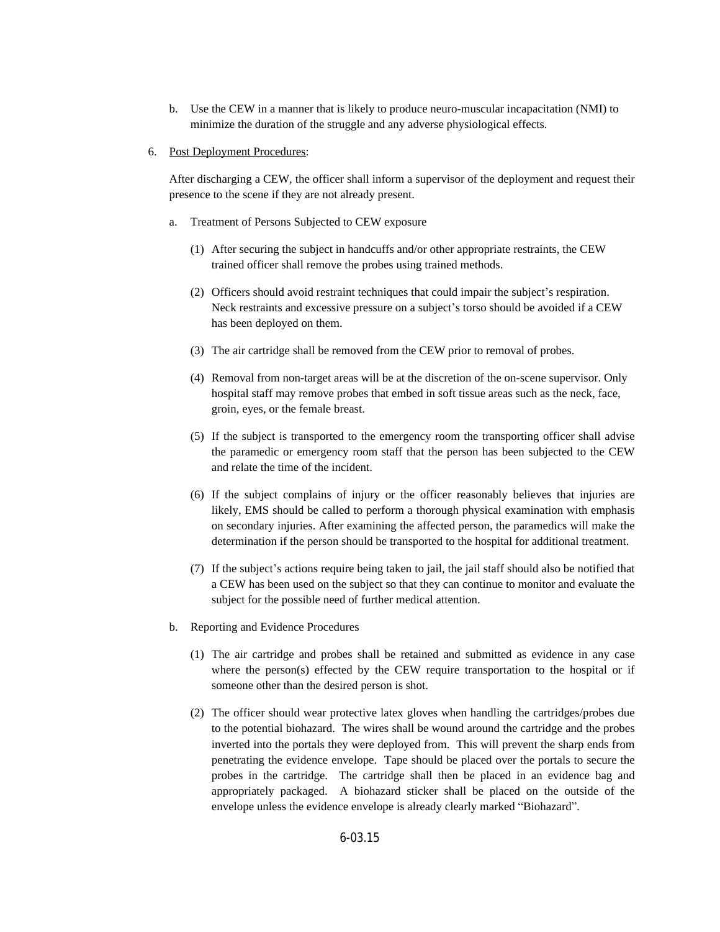- b. Use the CEW in a manner that is likely to produce neuro-muscular incapacitation (NMI) to minimize the duration of the struggle and any adverse physiological effects.
- 6. Post Deployment Procedures:

After discharging a CEW, the officer shall inform a supervisor of the deployment and request their presence to the scene if they are not already present.

- a. Treatment of Persons Subjected to CEW exposure
	- (1) After securing the subject in handcuffs and/or other appropriate restraints, the CEW trained officer shall remove the probes using trained methods.
	- (2) Officers should avoid restraint techniques that could impair the subject's respiration. Neck restraints and excessive pressure on a subject's torso should be avoided if a CEW has been deployed on them.
	- (3) The air cartridge shall be removed from the CEW prior to removal of probes.
	- (4) Removal from non-target areas will be at the discretion of the on-scene supervisor. Only hospital staff may remove probes that embed in soft tissue areas such as the neck, face, groin, eyes, or the female breast.
	- (5) If the subject is transported to the emergency room the transporting officer shall advise the paramedic or emergency room staff that the person has been subjected to the CEW and relate the time of the incident.
	- (6) If the subject complains of injury or the officer reasonably believes that injuries are likely, EMS should be called to perform a thorough physical examination with emphasis on secondary injuries. After examining the affected person, the paramedics will make the determination if the person should be transported to the hospital for additional treatment.
	- (7) If the subject's actions require being taken to jail, the jail staff should also be notified that a CEW has been used on the subject so that they can continue to monitor and evaluate the subject for the possible need of further medical attention.
- b. Reporting and Evidence Procedures
	- (1) The air cartridge and probes shall be retained and submitted as evidence in any case where the person(s) effected by the CEW require transportation to the hospital or if someone other than the desired person is shot.
	- (2) The officer should wear protective latex gloves when handling the cartridges/probes due to the potential biohazard. The wires shall be wound around the cartridge and the probes inverted into the portals they were deployed from. This will prevent the sharp ends from penetrating the evidence envelope. Tape should be placed over the portals to secure the probes in the cartridge. The cartridge shall then be placed in an evidence bag and appropriately packaged. A biohazard sticker shall be placed on the outside of the envelope unless the evidence envelope is already clearly marked "Biohazard".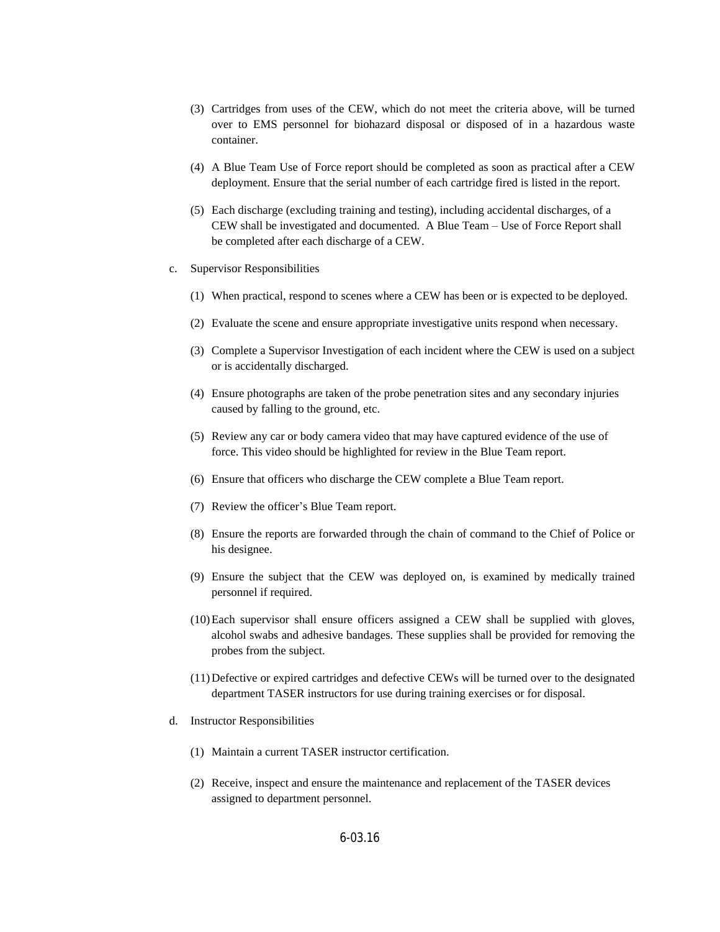- (3) Cartridges from uses of the CEW, which do not meet the criteria above, will be turned over to EMS personnel for biohazard disposal or disposed of in a hazardous waste container.
- (4) A Blue Team Use of Force report should be completed as soon as practical after a CEW deployment. Ensure that the serial number of each cartridge fired is listed in the report.
- (5) Each discharge (excluding training and testing), including accidental discharges, of a CEW shall be investigated and documented. A Blue Team – Use of Force Report shall be completed after each discharge of a CEW.
- c. Supervisor Responsibilities
	- (1) When practical, respond to scenes where a CEW has been or is expected to be deployed.
	- (2) Evaluate the scene and ensure appropriate investigative units respond when necessary.
	- (3) Complete a Supervisor Investigation of each incident where the CEW is used on a subject or is accidentally discharged.
	- (4) Ensure photographs are taken of the probe penetration sites and any secondary injuries caused by falling to the ground, etc.
	- (5) Review any car or body camera video that may have captured evidence of the use of force. This video should be highlighted for review in the Blue Team report.
	- (6) Ensure that officers who discharge the CEW complete a Blue Team report.
	- (7) Review the officer's Blue Team report.
	- (8) Ensure the reports are forwarded through the chain of command to the Chief of Police or his designee.
	- (9) Ensure the subject that the CEW was deployed on, is examined by medically trained personnel if required.
	- (10)Each supervisor shall ensure officers assigned a CEW shall be supplied with gloves, alcohol swabs and adhesive bandages. These supplies shall be provided for removing the probes from the subject.
	- (11)Defective or expired cartridges and defective CEWs will be turned over to the designated department TASER instructors for use during training exercises or for disposal.
- d. Instructor Responsibilities
	- (1) Maintain a current TASER instructor certification.
	- (2) Receive, inspect and ensure the maintenance and replacement of the TASER devices assigned to department personnel.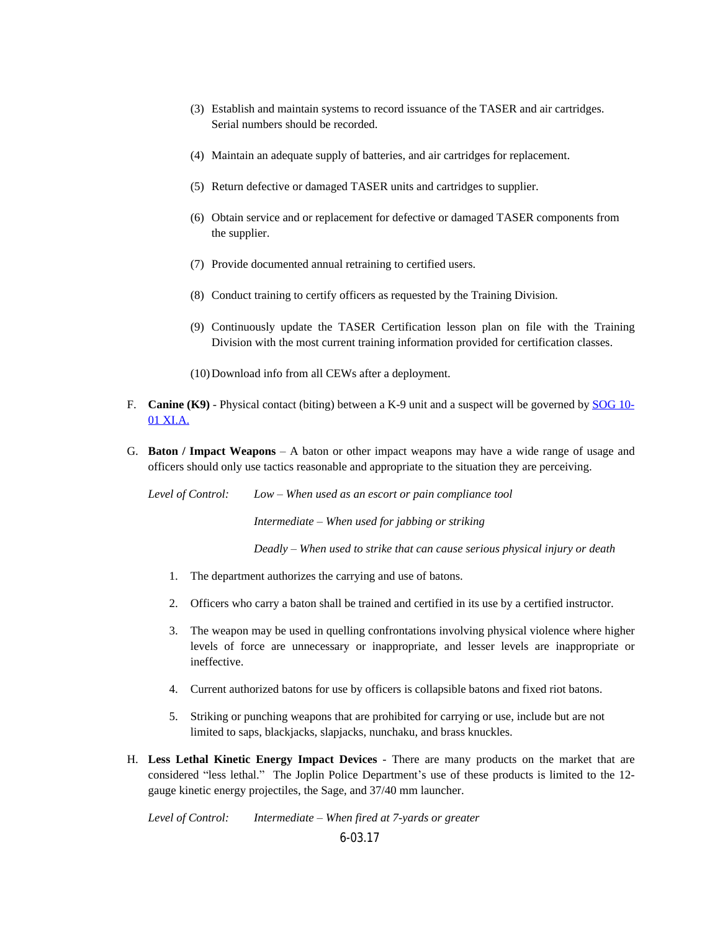- (3) Establish and maintain systems to record issuance of the TASER and air cartridges. Serial numbers should be recorded.
- (4) Maintain an adequate supply of batteries, and air cartridges for replacement.
- (5) Return defective or damaged TASER units and cartridges to supplier.
- (6) Obtain service and or replacement for defective or damaged TASER components from the supplier.
- (7) Provide documented annual retraining to certified users.
- (8) Conduct training to certify officers as requested by the Training Division.
- (9) Continuously update the TASER Certification lesson plan on file with the Training Division with the most current training information provided for certification classes.
- (10)Download info from all CEWs after a deployment.
- F. **Canine (K9)** Physical contact (biting) between a K-9 unit and a suspect will be governed by [SOG 10-](https://powerdms.com/docs/8?q=10-01) 01 XI.A.
- G. **Baton / Impact Weapons** A baton or other impact weapons may have a wide range of usage and officers should only use tactics reasonable and appropriate to the situation they are perceiving.

*Level of Control: Low – When used as an escort or pain compliance tool*

*Intermediate – When used for jabbing or striking*

*Deadly – When used to strike that can cause serious physical injury or death*

- 1. The department authorizes the carrying and use of batons.
- 2. Officers who carry a baton shall be trained and certified in its use by a certified instructor.
- 3. The weapon may be used in quelling confrontations involving physical violence where higher levels of force are unnecessary or inappropriate, and lesser levels are inappropriate or ineffective.
- 4. Current authorized batons for use by officers is collapsible batons and fixed riot batons.
- 5. Striking or punching weapons that are prohibited for carrying or use, include but are not limited to saps, blackjacks, slapjacks, nunchaku, and brass knuckles.
- H. **Less Lethal Kinetic Energy Impact Devices** There are many products on the market that are considered "less lethal." The Joplin Police Department's use of these products is limited to the 12 gauge kinetic energy projectiles, the Sage, and 37/40 mm launcher.

6-03.17 *Level of Control: Intermediate – When fired at 7-yards or greater*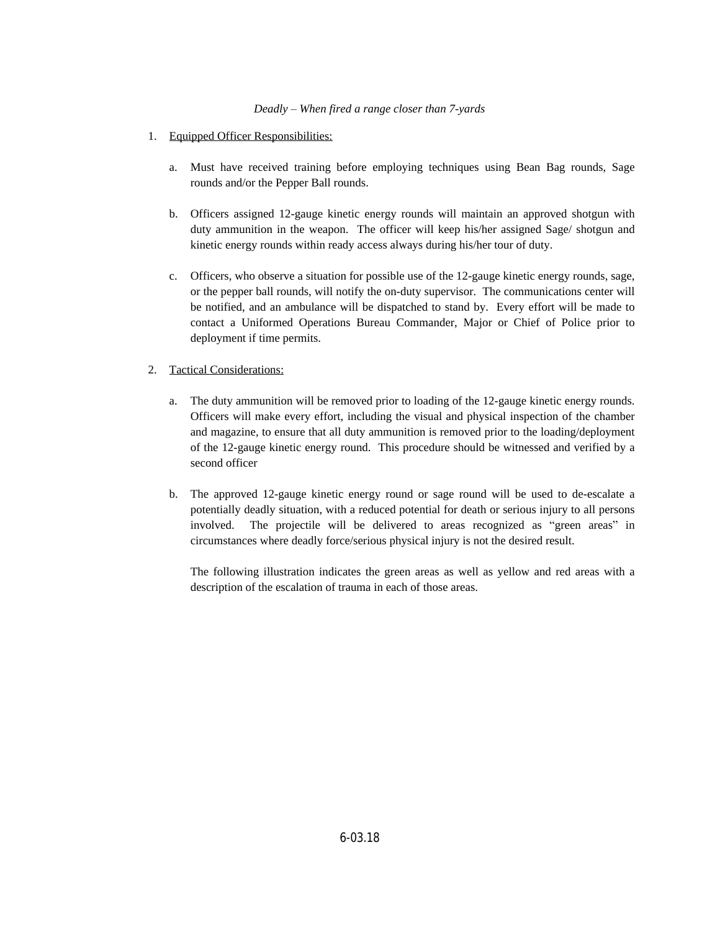## *Deadly – When fired a range closer than 7-yards*

- 1. Equipped Officer Responsibilities:
	- a. Must have received training before employing techniques using Bean Bag rounds, Sage rounds and/or the Pepper Ball rounds.
	- b. Officers assigned 12-gauge kinetic energy rounds will maintain an approved shotgun with duty ammunition in the weapon. The officer will keep his/her assigned Sage/ shotgun and kinetic energy rounds within ready access always during his/her tour of duty.
	- c. Officers, who observe a situation for possible use of the 12-gauge kinetic energy rounds, sage, or the pepper ball rounds, will notify the on-duty supervisor. The communications center will be notified, and an ambulance will be dispatched to stand by. Every effort will be made to contact a Uniformed Operations Bureau Commander, Major or Chief of Police prior to deployment if time permits.

# 2. Tactical Considerations:

- a. The duty ammunition will be removed prior to loading of the 12-gauge kinetic energy rounds. Officers will make every effort, including the visual and physical inspection of the chamber and magazine, to ensure that all duty ammunition is removed prior to the loading/deployment of the 12-gauge kinetic energy round. This procedure should be witnessed and verified by a second officer
- b. The approved 12-gauge kinetic energy round or sage round will be used to de-escalate a potentially deadly situation, with a reduced potential for death or serious injury to all persons involved. The projectile will be delivered to areas recognized as "green areas" in circumstances where deadly force/serious physical injury is not the desired result.

The following illustration indicates the green areas as well as yellow and red areas with a description of the escalation of trauma in each of those areas.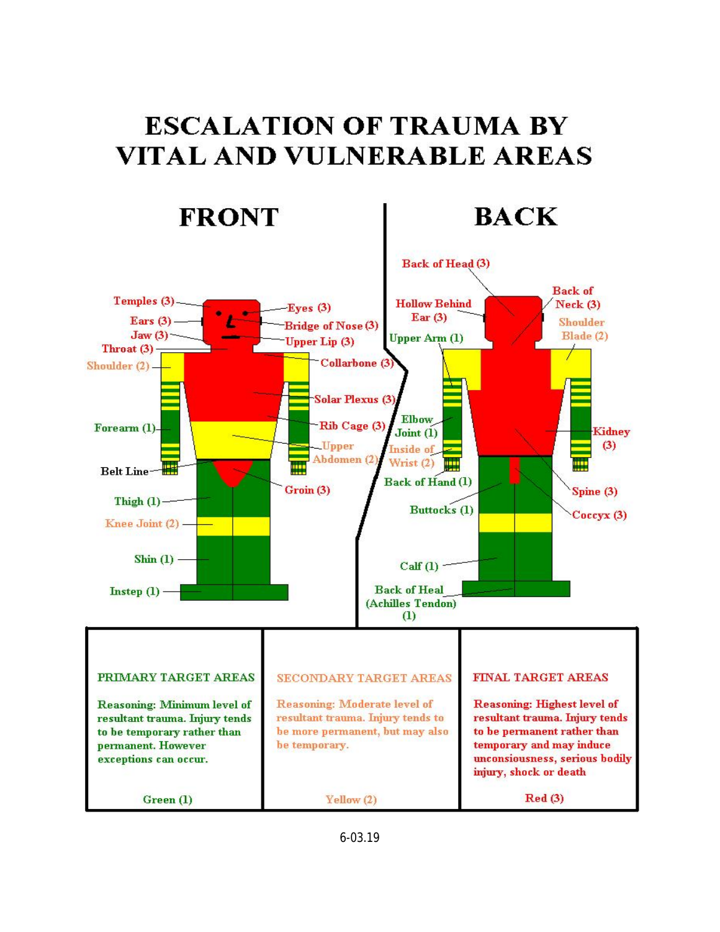# **ESCALATION OF TRAUMA BY VITAL AND VULNERABLE AREAS**

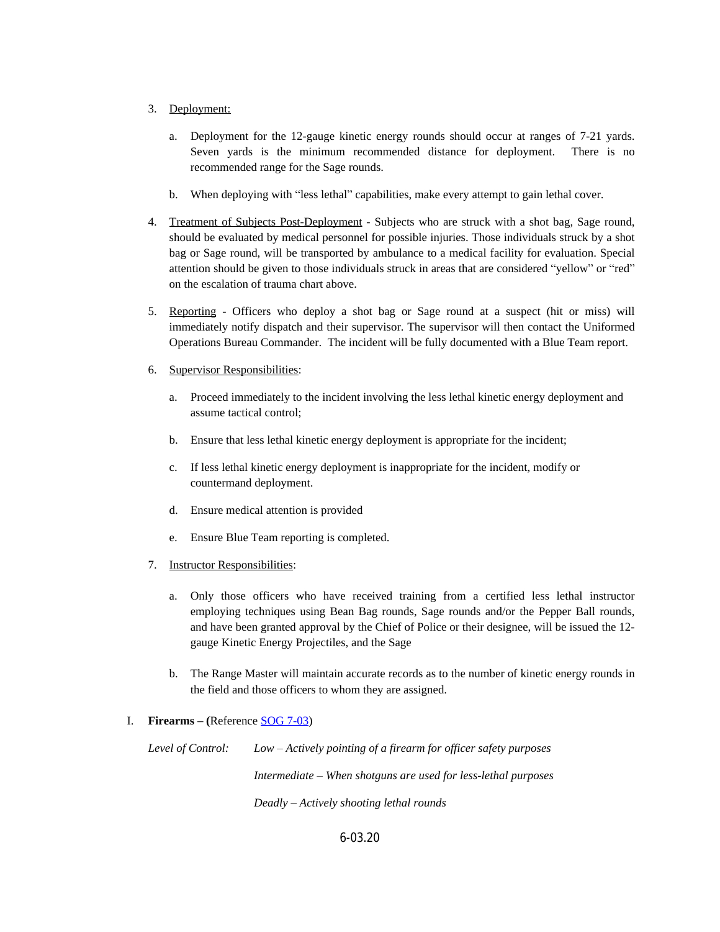## 3. Deployment:

- a. Deployment for the 12-gauge kinetic energy rounds should occur at ranges of 7-21 yards. Seven yards is the minimum recommended distance for deployment. There is no recommended range for the Sage rounds.
- b. When deploying with "less lethal" capabilities, make every attempt to gain lethal cover.
- 4. Treatment of Subjects Post-Deployment Subjects who are struck with a shot bag, Sage round, should be evaluated by medical personnel for possible injuries. Those individuals struck by a shot bag or Sage round, will be transported by ambulance to a medical facility for evaluation. Special attention should be given to those individuals struck in areas that are considered "yellow" or "red" on the escalation of trauma chart above.
- 5. Reporting Officers who deploy a shot bag or Sage round at a suspect (hit or miss) will immediately notify dispatch and their supervisor. The supervisor will then contact the Uniformed Operations Bureau Commander. The incident will be fully documented with a Blue Team report.
- 6. Supervisor Responsibilities:
	- a. Proceed immediately to the incident involving the less lethal kinetic energy deployment and assume tactical control;
	- b. Ensure that less lethal kinetic energy deployment is appropriate for the incident;
	- c. If less lethal kinetic energy deployment is inappropriate for the incident, modify or countermand deployment.
	- d. Ensure medical attention is provided
	- e. Ensure Blue Team reporting is completed.
- 7. Instructor Responsibilities:
	- a. Only those officers who have received training from a certified less lethal instructor employing techniques using Bean Bag rounds, Sage rounds and/or the Pepper Ball rounds, and have been granted approval by the Chief of Police or their designee, will be issued the 12 gauge Kinetic Energy Projectiles, and the Sage
	- b. The Range Master will maintain accurate records as to the number of kinetic energy rounds in the field and those officers to whom they are assigned.

## I. **Firearms – (**Reference [SOG 7-03\)](https://powerdms.com/docs/121?q=7-03)

*Level of Control: Low – Actively pointing of a firearm for officer safety purposes Intermediate – When shotguns are used for less-lethal purposes Deadly – Actively shooting lethal rounds*

6-03.20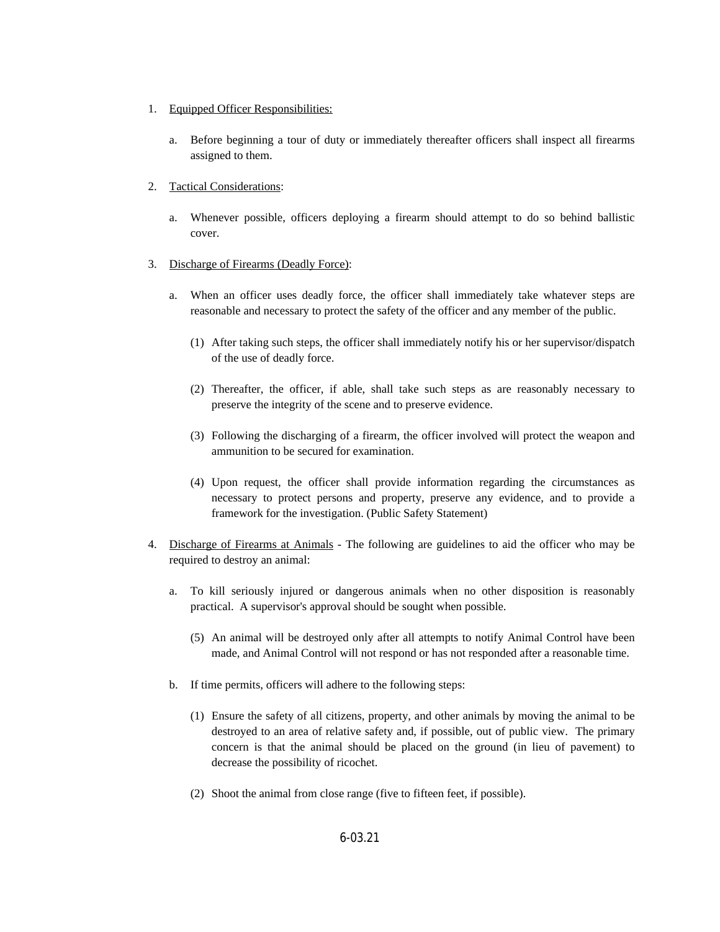- 1. Equipped Officer Responsibilities:
	- a. Before beginning a tour of duty or immediately thereafter officers shall inspect all firearms assigned to them.
- 2. Tactical Considerations:
	- a. Whenever possible, officers deploying a firearm should attempt to do so behind ballistic cover.
- 3. Discharge of Firearms (Deadly Force):
	- a. When an officer uses deadly force, the officer shall immediately take whatever steps are reasonable and necessary to protect the safety of the officer and any member of the public.
		- (1) After taking such steps, the officer shall immediately notify his or her supervisor/dispatch of the use of deadly force.
		- (2) Thereafter, the officer, if able, shall take such steps as are reasonably necessary to preserve the integrity of the scene and to preserve evidence.
		- (3) Following the discharging of a firearm, the officer involved will protect the weapon and ammunition to be secured for examination.
		- (4) Upon request, the officer shall provide information regarding the circumstances as necessary to protect persons and property, preserve any evidence, and to provide a framework for the investigation. (Public Safety Statement)
- 4. Discharge of Firearms at Animals The following are guidelines to aid the officer who may be required to destroy an animal:
	- a. To kill seriously injured or dangerous animals when no other disposition is reasonably practical. A supervisor's approval should be sought when possible.
		- (5) An animal will be destroyed only after all attempts to notify Animal Control have been made, and Animal Control will not respond or has not responded after a reasonable time.
	- b. If time permits, officers will adhere to the following steps:
		- (1) Ensure the safety of all citizens, property, and other animals by moving the animal to be destroyed to an area of relative safety and, if possible, out of public view. The primary concern is that the animal should be placed on the ground (in lieu of pavement) to decrease the possibility of ricochet.
		- (2) Shoot the animal from close range (five to fifteen feet, if possible).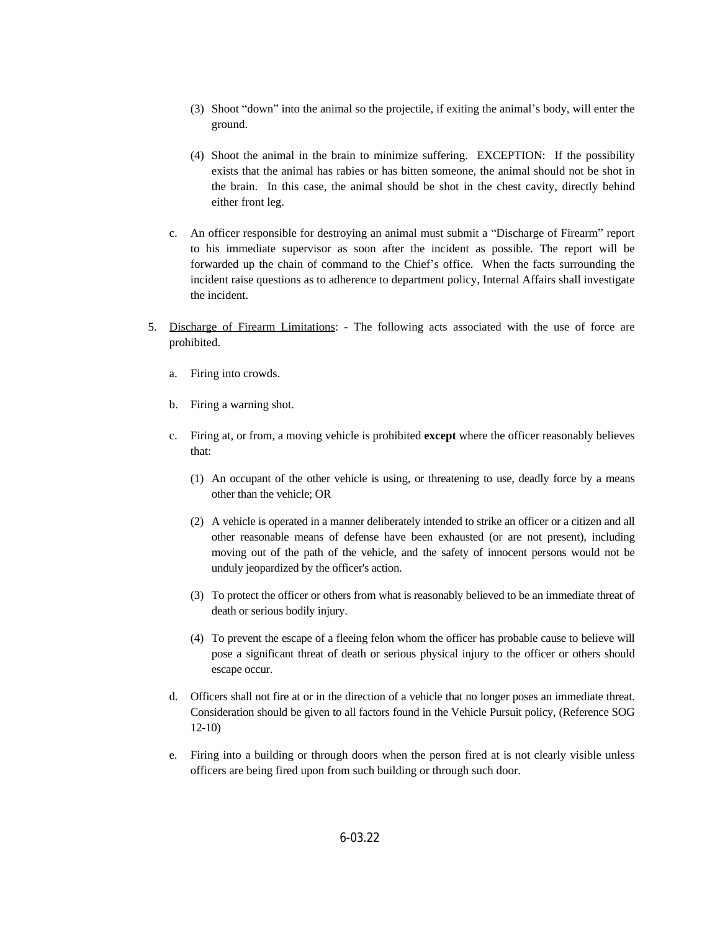- (3) Shoot "down" into the animal so the projectile, if exiting the animal's body, will enter the ground.
- (4) Shoot the animal in the brain to minimize suffering. EXCEPTION: If the possibility exists that the animal has rabies or has bitten someone, the animal should not be shot in the brain. In this case, the animal should be shot in the chest cavity, directly behind either front leg.
- c. An officer responsible for destroying an animal must submit a "Discharge of Firearm" report to his immediate supervisor as soon after the incident as possible. The report will be forwarded up the chain of command to the Chief's office. When the facts surrounding the incident raise questions as to adherence to department policy, Internal Affairs shall investigate the incident.
- 5. Discharge of Firearm Limitations: The following acts associated with the use of force are prohibited.
	- a. Firing into crowds.
	- b. Firing a warning shot.
	- c. Firing at, or from, a moving vehicle is prohibited **except** where the officer reasonably believes that:
		- (1) An occupant of the other vehicle is using, or threatening to use, deadly force by a means other than the vehicle; OR
		- (2) A vehicle is operated in a manner deliberately intended to strike an officer or a citizen and all other reasonable means of defense have been exhausted (or are not present), including moving out of the path of the vehicle, and the safety of innocent persons would not be unduly jeopardized by the officer's action.
		- (3) To protect the officer or others from what is reasonably believed to be an immediate threat of death or serious bodily injury.
		- (4) To prevent the escape of a fleeing felon whom the officer has probable cause to believe will pose a significant threat of death or serious physical injury to the officer or others should escape occur.
	- d. Officers shall not fire at or in the direction of a vehicle that no longer poses an immediate threat. Consideration should be given to all factors found in the Vehicle Pursuit policy, (Reference SOG 12-10)
	- e. Firing into a building or through doors when the person fired at is not clearly visible unless officers are being fired upon from such building or through such door.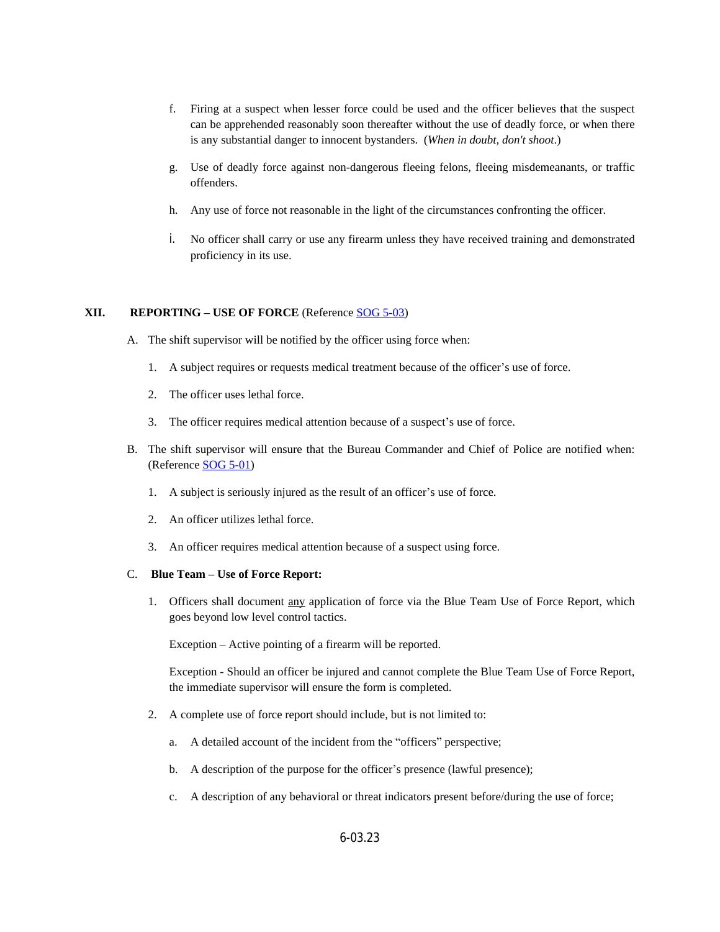- f. Firing at a suspect when lesser force could be used and the officer believes that the suspect can be apprehended reasonably soon thereafter without the use of deadly force, or when there is any substantial danger to innocent bystanders. (*When in doubt, don't shoot*.)
- g. Use of deadly force against non-dangerous fleeing felons, fleeing misdemeanants, or traffic offenders.
- h. Any use of force not reasonable in the light of the circumstances confronting the officer.
- i. No officer shall carry or use any firearm unless they have received training and demonstrated proficiency in its use.

## **XII. REPORTING – USE OF FORCE** (Reference [SOG 5-03](https://powerdms.com/docs/102?q=5-03))

- A. The shift supervisor will be notified by the officer using force when:
	- 1. A subject requires or requests medical treatment because of the officer's use of force.
	- 2. The officer uses lethal force.
	- 3. The officer requires medical attention because of a suspect's use of force.
- B. The shift supervisor will ensure that the Bureau Commander and Chief of Police are notified when: (Reference [SOG 5-01\)](https://powerdms.com/docs/100?q=5-01)
	- 1. [A subject is seriously injured as the result of an officer](https://powerdms.com/docs/100?q=5-01)'[s use of force.](https://powerdms.com/docs/100?q=5-01)
	- 2. [An officer utilizes lethal force.](https://powerdms.com/docs/100?q=5-01)
	- 3. [An officer requires medical attention because of a suspect using force.](https://powerdms.com/docs/100?q=5-01)

#### C. **Blue Team – [Use of Force Report:](https://powerdms.com/docs/100?q=5-01)**

1. [Officers](https://powerdms.com/docs/100?q=5-01) shall [document](https://powerdms.com/docs/100?q=5-01) [any](https://powerdms.com/docs/100?q=5-01) [application](https://powerdms.com/docs/100?q=5-01) of [force](https://powerdms.com/docs/100?q=5-01) via the Blue Team Use of Force [Report,](https://powerdms.com/docs/100?q=5-01) which [goes beyond low level control tactics.](https://powerdms.com/docs/100?q=5-01)

Exception – [Active pointing of a firearm will be reported.](https://powerdms.com/docs/100?q=5-01)

[Exception](https://powerdms.com/docs/100?q=5-01) [-](https://powerdms.com/docs/100?q=5-01) Should an officer be injured and cannot [complete](https://powerdms.com/docs/100?q=5-01) the Blue Team Use of Force [Report,](https://powerdms.com/docs/100?q=5-01) [the](https://powerdms.com/docs/100?q=5-01) [immediate supervisor will ensure the form is completed.](https://powerdms.com/docs/100?q=5-01)

- 2. [A complete use of force report should include, but is not limited to:](https://powerdms.com/docs/100?q=5-01)
	- a. [A detailed account of the incident from the](https://powerdms.com/docs/100?q=5-01) "officers" perspective;
	- b. [A description of the purpose for the](https://powerdms.com/docs/100?q=5-01) [officer](https://powerdms.com/docs/100?q=5-01)'[s presence \(lawful presence\);](https://powerdms.com/docs/100?q=5-01)
	- c. [A description of any behavioral or threat indicators present before/during the use of force;](https://powerdms.com/docs/100?q=5-01)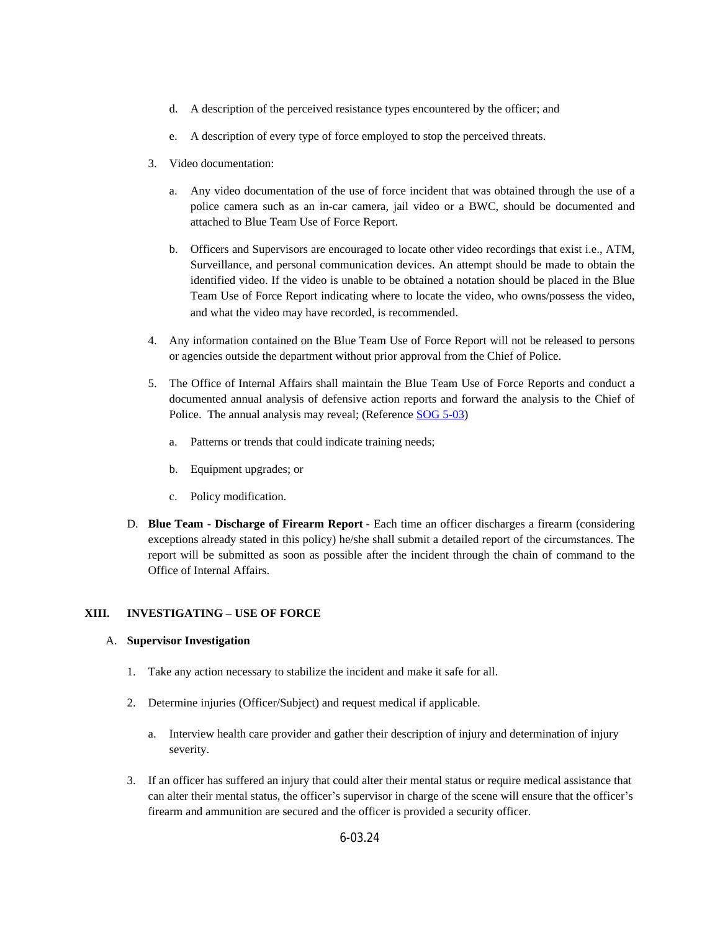- d. A description of the perceived resistance types encountered by the officer; and
- e. A description of every type of force employed to stop the perceived threats.
- 3. Video documentation:
	- a. Any video documentation of the use of force incident that was obtained through the use of a police camera such as an in-car camera, jail video or a BWC, should be documented and attached to Blue Team Use of Force Report.
	- b. Officers and Supervisors are encouraged to locate other video recordings that exist i.e., ATM, Surveillance, and personal communication devices. An attempt should be made to obtain the identified video. If the video is unable to be obtained a notation should be placed in the Blue Team Use of Force Report indicating where to locate the video, who owns/possess the video, and what the video may have recorded, is recommended.
- 4. Any information contained on the Blue Team Use of Force Report will not be released to persons or agencies outside the department without prior approval from the Chief of Police.
- 5. The Office of Internal Affairs shall maintain the Blue Team Use of Force Reports and conduct a documented annual analysis of defensive action reports and forward the analysis to the Chief of Police. The annual analysis may reveal; (Reference [SOG 5-03](https://powerdms.com/docs/102?q=5-03))
	- a. Patterns or trends that could indicate training needs;
	- b. Equipment upgrades; or
	- c. Policy modification.
- D. **Blue Team - Discharge of Firearm Report** Each time an officer discharges a firearm (considering exceptions already stated in this policy) he/she shall submit a detailed report of the circumstances. The report will be submitted as soon as possible after the incident through the chain of command to the Office of Internal Affairs.

## **XIII. INVESTIGATING – USE OF FORCE**

## A. **Supervisor Investigation**

- 1. Take any action necessary to stabilize the incident and make it safe for all.
- 2. Determine injuries (Officer/Subject) and request medical if applicable.
	- a. Interview health care provider and gather their description of injury and determination of injury severity.
- 3. If an officer has suffered an injury that could alter their mental status or require medical assistance that can alter their mental status, the officer's supervisor in charge of the scene will ensure that the officer's firearm and ammunition are secured and the officer is provided a security officer.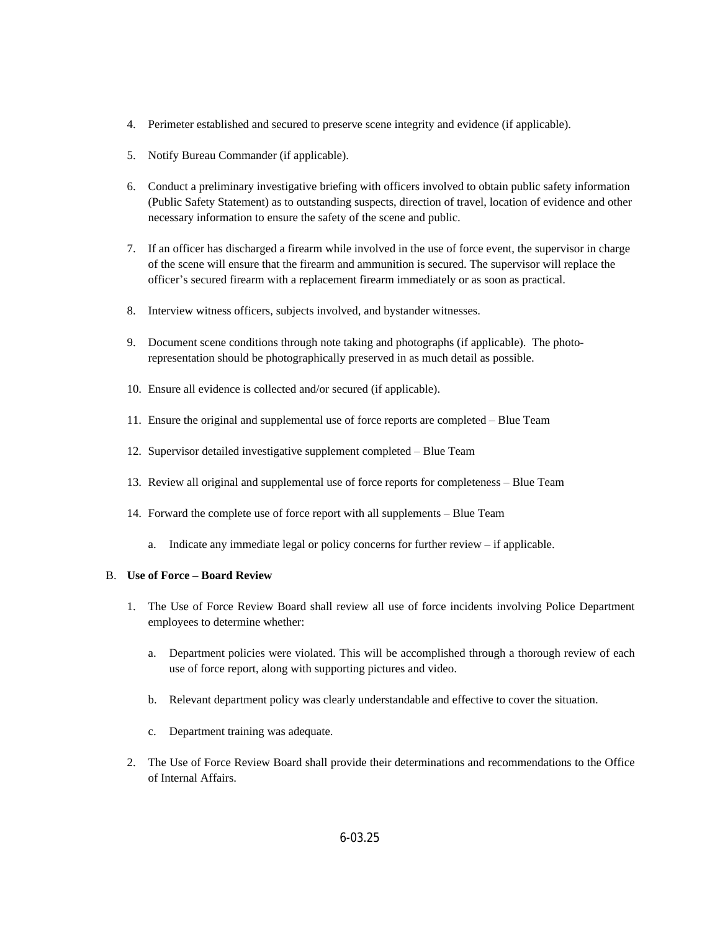- 4. Perimeter established and secured to preserve scene integrity and evidence (if applicable).
- 5. Notify Bureau Commander (if applicable).
- 6. Conduct a preliminary investigative briefing with officers involved to obtain public safety information (Public Safety Statement) as to outstanding suspects, direction of travel, location of evidence and other necessary information to ensure the safety of the scene and public.
- 7. If an officer has discharged a firearm while involved in the use of force event, the supervisor in charge of the scene will ensure that the firearm and ammunition is secured. The supervisor will replace the officer's secured firearm with a replacement firearm immediately or as soon as practical.
- 8. Interview witness officers, subjects involved, and bystander witnesses.
- 9. Document scene conditions through note taking and photographs (if applicable). The photorepresentation should be photographically preserved in as much detail as possible.
- 10. Ensure all evidence is collected and/or secured (if applicable).
- 11. Ensure the original and supplemental use of force reports are completed Blue Team
- 12. Supervisor detailed investigative supplement completed Blue Team
- 13. Review all original and supplemental use of force reports for completeness Blue Team
- 14. Forward the complete use of force report with all supplements Blue Team
	- a. Indicate any immediate legal or policy concerns for further review if applicable.

#### B. **Use of Force – Board Review**

- 1. The Use of Force Review Board shall review all use of force incidents involving Police Department employees to determine whether:
	- a. Department policies were violated. This will be accomplished through a thorough review of each use of force report, along with supporting pictures and video.
	- b. Relevant department policy was clearly understandable and effective to cover the situation.
	- c. Department training was adequate.
- 2. The Use of Force Review Board shall provide their determinations and recommendations to the Office of Internal Affairs.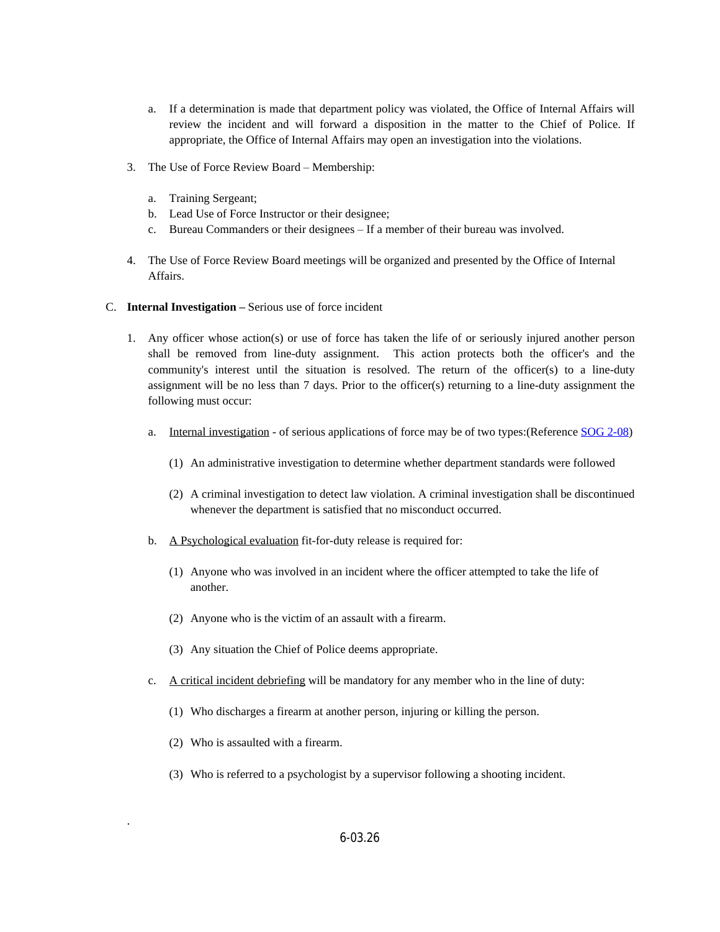- a. If a determination is made that department policy was violated, the Office of Internal Affairs will review the incident and will forward a disposition in the matter to the Chief of Police. If appropriate, the Office of Internal Affairs may open an investigation into the violations.
- 3. The Use of Force Review Board Membership:
	- a. Training Sergeant;
	- b. Lead Use of Force Instructor or their designee;
	- c. Bureau Commanders or their designees If a member of their bureau was involved.
- 4. The Use of Force Review Board meetings will be organized and presented by the Office of Internal Affairs.
- C. **Internal Investigation –** Serious use of force incident
	- 1. Any officer whose action(s) or use of force has taken the life of or seriously injured another person shall be removed from line-duty assignment. This action protects both the officer's and the community's interest until the situation is resolved. The return of the officer(s) to a line-duty assignment will be no less than 7 days. Prior to the officer(s) returning to a line-duty assignment the following must occur:
		- a. Internal investigation of serious applications of force may be of two types: (Reference [SOG 2-08\)](https://powerdms.com/docs/58?q=2-08)
			- (1) An administrative investigation to determine whether department standards were followed
			- (2) A criminal investigation to detect law violation. A criminal investigation shall be discontinued whenever the department is satisfied that no misconduct occurred.
		- b. A Psychological evaluation fit-for-duty release is required for:
			- (1) Anyone who was involved in an incident where the officer attempted to take the life of another.
			- (2) Anyone who is the victim of an assault with a firearm.
			- (3) Any situation the Chief of Police deems appropriate.
		- c. A critical incident debriefing will be mandatory for any member who in the line of duty:
			- (1) Who discharges a firearm at another person, injuring or killing the person.
			- (2) Who is assaulted with a firearm.

.

(3) Who is referred to a psychologist by a supervisor following a shooting incident.